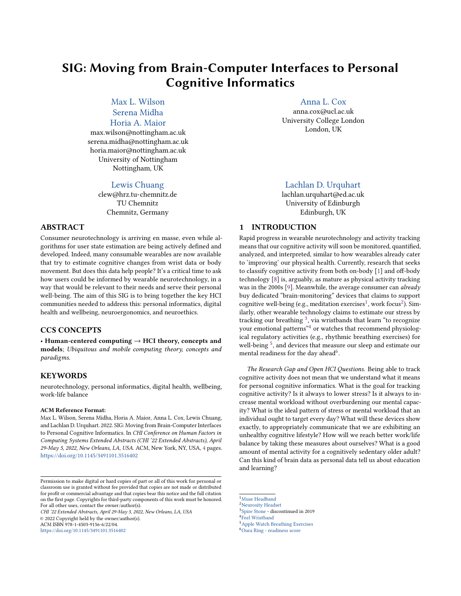# SIG: Moving from Brain-Computer Interfaces to Personal Cognitive Informatics

Max L. [Wilson](https://orcid.org/0000-0002-3515-6633) [Serena](https://orcid.org/0000-0003-3174-382X) Midha Horia A. [Maior](https://orcid.org/0000-0002-0358-1555)

[max.wilson@nottingham.ac.uk](mailto:max.wilson@nottingham.ac.uk) [serena.midha@nottingham.ac.uk](mailto:serena.midha@nottingham.ac.uk) [horia.maior@nottingham.ac.uk](mailto:horia.maior@nottingham.ac.uk) University of Nottingham Nottingham, UK

#### Lewis [Chuang](https://orcid.org/0000-0002-1975-5716)

[clew@hrz.tu-chemnitz.de](mailto:clew@hrz.tu-chemnitz.de) TU Chemnitz Chemnitz, Germany

## ABSTRACT

Consumer neurotechnology is arriving en masse, even while algorithms for user state estimation are being actively defned and developed. Indeed, many consumable wearables are now available that try to estimate cognitive changes from wrist data or body movement. But does this data help people? It's a critical time to ask how users could be informed by wearable neurotechnology, in a way that would be relevant to their needs and serve their personal well-being. The aim of this SIG is to bring together the key HCI communities needed to address this: personal informatics, digital health and wellbeing, neuroergonomics, and neuroethics.

## CCS CONCEPTS

• Human-centered computing  $\rightarrow$  HCI theory, concepts and models; Ubiquitous and mobile computing theory, concepts and paradigms.

#### **KEYWORDS**

neurotechnology, personal informatics, digital health, wellbeing, work-life balance

#### ACM Reference Format:

Max L. Wilson, Serena Midha, Horia A. Maior, Anna L. Cox, Lewis Chuang, and Lachlan D. Urquhart. 2022. SIG: Moving from Brain-Computer Interfaces to Personal Cognitive Informatics. In CHI Conference on Human Factors in Computing Systems Extended Abstracts (CHI '22 Extended Abstracts), April 29-May 5, 2022, New Orleans, LA, USA. ACM, New York, NY, USA, [4](#page-3-0) pages. <https://doi.org/10.1145/3491101.3516402>

CHI '22 Extended Abstracts, April 29-May 5, 2022, New Orleans, LA, USA © 2022 Copyright held by the owner/author(s).

ACM ISBN 978-1-4503-9156-6/22/04.

<https://doi.org/10.1145/3491101.3516402>

[Anna](https://orcid.org/0000-0003-2231-2964) L. Cox

[anna.cox@ucl.ac.uk](mailto:anna.cox@ucl.ac.uk) University College London London, UK

## Lachlan D. [Urquhart](https://orcid.org/0000-0001-5144-5024)

[lachlan.urquhart@ed.ac.uk](mailto:lachlan.urquhart@ed.ac.uk) University of Edinburgh Edinburgh, UK

## 1 INTRODUCTION

Rapid progress in wearable neurotechnology and activity tracking means that our cognitive activity will soon be monitored, quantified, analyzed, and interpreted, similar to how wearables already cater to 'improving' our physical health. Currently, research that seeks to classify cognitive activity from both on-body [\[1\]](#page-2-0) and off-body technology [\[8\]](#page-2-1) is, arguably, as mature as physical activity tracking was in the 2000s [\[9\]](#page-2-2). Meanwhile, the average consumer can already buy dedicated "brain-monitoring" devices that claims to support cognitive well-being (e.g., meditation exercises<sup>1</sup>, work focus<sup>2</sup>). Similarly, other wearable technology claims to estimate our stress by tracking our breathing  $3$ , via wristbands that learn "to recognize your emotional patterns"<sup>[4](#page-0-3)</sup> or watches that recommend physiological regulatory activities (e.g., rhythmic breathing exercises) for well-being  $5$ , and devices that measure our sleep and estimate our mental readiness for the day ahead<sup>6</sup>.

The Research Gap and Open HCI Questions. Being able to track cognitive activity does not mean that we understand what it means for personal cognitive informatics. What is the goal for tracking cognitive activity? Is it always to lower stress? Is it always to increase mental workload without overburdening our mental capacity? What is the ideal pattern of stress or mental workload that an individual ought to target every day? What will these devices show exactly, to appropriately communicate that we are exhibiting an unhealthy cognitive lifestyle? How will we reach better work/life balance by taking these measures about ourselves? What is a good amount of mental activity for a cognitively sedentary older adult? Can this kind of brain data as personal data tell us about education and learning?

<span id="page-0-0"></span> $^1_\mathrm{Neurostry}$  Headset  $^3_\mathrm{Spire}$  Stone - discontinued in 2019  $^4$  Feel [Wristband](https://www.myfeel.co/individuals) 5<br>Apple Watch [Breathing](https://support.apple.com/en-gb/guide/watch/apd371dfe3d7/watchos) Exercises  $^6_\mathrm{Oura}$  Ring [- readiness](https://ouraring.com/blog/readiness-score/) score

Permission to make digital or hard copies of part or all of this work for personal or classroom use is granted without fee provided that copies are not made or distributed for proft or commercial advantage and that copies bear this notice and the full citation on the frst page. Copyrights for third-party components of this work must be honored. For all other uses, contact the owner/author(s).

<span id="page-0-1"></span>

<span id="page-0-2"></span>

<span id="page-0-4"></span><span id="page-0-3"></span>

<span id="page-0-5"></span>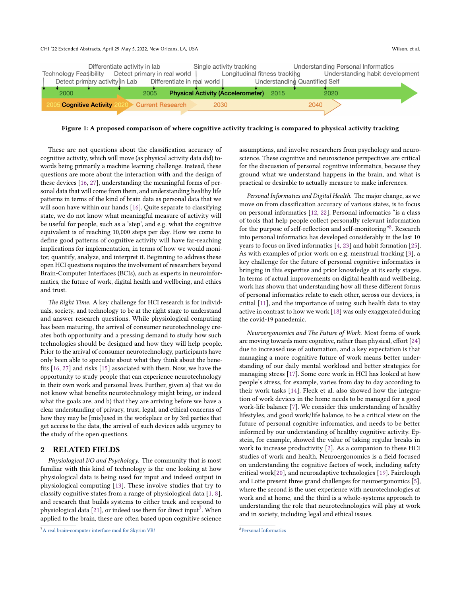

Figure 1: A proposed comparison of where cognitive activity tracking is compared to physical activity tracking

These are not questions about the classifcation accuracy of cognitive activity, which will move (as physical activity data did) towards being primarily a machine learning challenge. Instead, these questions are more about the interaction with and the design of these devices [\[16,](#page-3-1) [27\]](#page-3-2), understanding the meaningful forms of personal data that will come from them, and understanding healthy life patterns in terms of the kind of brain data as personal data that we will soon have within our hands [\[16\]](#page-3-1). Quite separate to classifying state, we do not know what meaningful measure of activity will be useful for people, such as a 'step', and e.g. what the cognitive equivalent is of reaching 10,000 steps per day. How we come to defne good patterns of cognitive activity will have far-reaching implications for implementation, in terms of how we would monitor, quantify, analyze, and interpret it. Beginning to address these open HCI questions requires the involvement of researchers beyond Brain-Computer Interfaces (BCIs), such as experts in neuroinformatics, the future of work, digital health and wellbeing, and ethics and trust.

The Right Time. A key challenge for HCI research is for individuals, society, and technology to be at the right stage to understand and answer research questions. While physiological computing has been maturing, the arrival of consumer neurotechnology creates both opportunity and a pressing demand to study how such technologies should be designed and how they will help people. Prior to the arrival of consumer neurotechnology, participants have only been able to speculate about what they think about the benefts [\[16,](#page-3-1) [27\]](#page-3-2) and risks [\[15\]](#page-3-3) associated with them. Now, we have the opportunity to study people that can experience neurotechnology in their own work and personal lives. Further, given a) that we do not know what benefts neurotechnology might bring, or indeed what the goals are, and b) that they are arriving before we have a clear understanding of privacy, trust, legal, and ethical concerns of how they may be [mis]used in the workplace or by 3rd parties that get access to the data, the arrival of such devices adds urgency to the study of the open questions.

#### 2 RELATED FIELDS

Physiological I/O and Psychology. The community that is most familiar with this kind of technology is the one looking at how physiological data is being used for input and indeed output in physiological computing [\[13\]](#page-3-4). These involve studies that try to classify cognitive states from a range of physiological data [\[1,](#page-2-0) [8\]](#page-2-1), and research that builds systems to either track and respond to physiological data [\[21\]](#page-3-5), or indeed use them for direct input<sup>7</sup>. When applied to the brain, these are often based upon cognitive science

assumptions, and involve researchers from psychology and neuroscience. These cognitive and neuroscience perspectives are critical for the discussion of personal cognitive informatics, because they ground what we understand happens in the brain, and what is practical or desirable to actually measure to make inferences.

Personal Informatics and Digital Health. The major change, as we move on from classifcation accuracy of various states, is to focus on personal informatics [\[12,](#page-3-6) [22\]](#page-3-7). Personal informatics "is a class of tools that help people collect personally relevant information for the purpose of self-refection and self-monitoring"[8.](#page-1-1) Research into personal informatics has developed considerably in the last 10 years to focus on lived informatics [\[4,](#page-2-3) [23\]](#page-3-8) and habit formation [\[25\]](#page-3-9). As with examples of prior work on e.g. menstrual tracking [\[3\]](#page-2-4), a key challenge for the future of personal cognitive informatics is bringing in this expertise and prior knowledge at its early stages. In terms of actual improvements on digital health and wellbeing, work has shown that understanding how all these diferent forms of personal informatics relate to each other, across our devices, is critial [\[11\]](#page-2-5), and the importance of using such health data to stay active in contrast to how we work [\[18\]](#page-3-10) was only exaggerated during the covid-19 panedemic.

Neuroergonomics and The Future of Work. Most forms of work are moving towards more cognitive, rather than physical, effort [\[24\]](#page-3-11) due to increased use of automation, and a key expectation is that managing a more cognitive future of work means better understanding of our daily mental workload and better strategies for managing stress [\[17\]](#page-3-12). Some core work in HCI has looked at how people's stress, for example, varies from day to day according to their work tasks [\[14\]](#page-3-13). Fleck et al. also showed how the integration of work devices in the home needs to be managed for a good work-life balance [\[7\]](#page-2-6). We consider this understanding of healthy lifestyles, and good work/life balance, to be a critical view on the future of personal cognitive informatics, and needs to be better informed by our understanding of healthy cognitive activity. Epstein, for example, showed the value of taking regular breaks in work to increase productivity [\[2\]](#page-2-7). As a companion to these HCI studies of work and health, Neuroergonomics is a feld focused on understanding the cognitive factors of work, including safety critical work[\[20\]](#page-3-14), and neuroadaptive technologies [\[19\]](#page-3-15). Fairclough and Lotte present three grand challenges for neuroergonomics [\[5\]](#page-2-8), where the second is the user experience with neurotechnologies at work and at home, and the third is a whole-systems approach to understanding the role that neurotechnologies will play at work and in society, including legal and ethical issues.

<span id="page-1-0"></span><sup>7</sup>A real [brain-computer](https://youtu.be/5WlQyKKgxxI) interface mod for Skyrim VR!

<span id="page-1-1"></span><sup>8</sup>Personal [Informatics](https://www.personalinformatics.org/)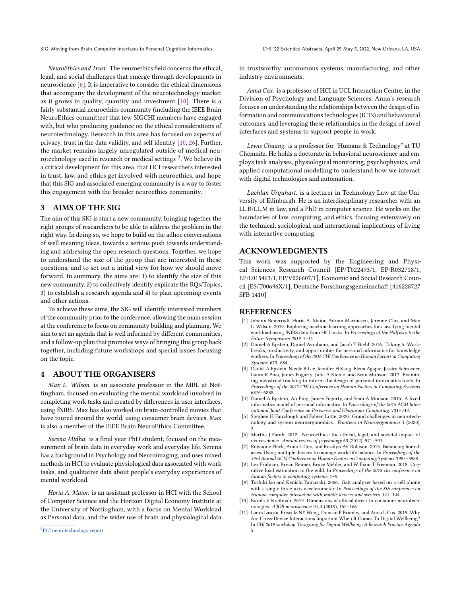SIG: Moving from Brain-Computer Interfaces to Personal Cognitive Informatics CHI '22 Extended Abstracts, April 29-May 5, 2022, New Orleans, LA, USA

NeuroEthics and Trust. The neuroethics field concerns the ethical, legal, and social challenges that emerge through developments in neuroscience [\[6\]](#page-2-9). It is imperative to consider the ethical dimensions that accompany the development of the neurotechnology market as it grows in quality, quantity and investment [\[10\]](#page-2-10). There is a fairly substantial neuroethics community (including the IEEE Brain NeuroEthics committee) that few SIGCHI members have engaged with, but who producing guidance on the ethical considerations of neurotechnology. Research in this area has focused on aspects of privacy, trust in the data validity, and self identity [\[10,](#page-2-10) [26\]](#page-3-16). Further, the market remains largely unregulated outside of medical neurotechnology used in research or medical settings<sup>9</sup>. We believe its a critical development for this area, that HCI researchers interested in trust, law, and ethics get involved with neuroethics, and hope that this SIG and associated emerging community is a way to foster this engagement with the broader neuroethics community.

#### 3 AIMS OF THE SIG

The aim of this SIG is start a new community, bringing together the right groups of researchers to be able to address the problem in the right way. In doing so, we hope to build on the adhoc conversations of well meaning ideas, towards a serious push towards understanding and addressing the open research questions. Together, we hope to understand the size of the group that are interested in these questions, and to set out a initial view for how we should move forward. In summary, the aims are: 1) to identify the size of this new community, 2) to collectively identify explicate the RQs/Topics, 3) to establish a research agenda and 4) to plan upcoming events and other actions.

To achieve these aims, the SIG will identify interested members of the community prior to the conference, allowing the main session at the conference to focus on community building and planning. We aim to set an agenda that is well informed by diferent communities, and a follow-up plan that promotes ways of bringing this group back together, including future workshops and special issues focusing on the topic.

#### 4 ABOUT THE ORGANISERS

Max L. Wilson. is an associate professor in the MRL at Nottingham, focused on evaluating the mental workload involved in completing work tasks and created by diferences in user interfaces, using fNIRS. Max has also worked on brain-controlled movies that have toured around the world, using consumer brain devices. Max is also a member of the IEEE Brain NeuroEthics Committee.

Serena Midha. is a final year PhD student, focused on the measurement of brain data in everyday work and everyday life. Serena has a background in Psychology and Neuroimaging, and uses mixed methods in HCI to evaluate physiological data associated with work tasks, and qualitative data about people's everyday experiences of mental workload.

Horia A. Maior. is an assistant professor in HCI with the School of Computer Science and the Horizon Digital Economy Institute at the University of Nottingham, with a focus on Mental Workload as Personal data, and the wider use of brain and physiological data

in trustworthy autonomous systems, manufacturing, and other industry environments.

Anna Cox. is a professor of HCI in UCL Interaction Centre, in the Division of Psychology and Language Sciences. Anna's research focuses on understanding the relationships between the design of information and communications technologies (ICTs) and behavioural outcomes, and leveraging these relationships in the design of novel interfaces and systems to support people in work.

Lewis Chuang. is a professor for "Humans & Technology" at TU Chemnitz. He holds a doctorate in behavioral neuroscience and employs task analyses, physiological monitoring, psychophysics, and applied computational modelling to understand how we interact with digital technologies and automation.

Lachlan Urquhart. is a lecturer in Technology Law at the University of Edinburgh. He is an interdisciplinary researcher with an LL.B/LL.M in law, and a PhD in computer science. He works on the boundaries of law, computing, and ethics, focusing extensively on the technical, sociological, and interactional implications of living with interactive computing.

## ACKNOWLEDGMENTS

This work was supported by the Engineering and Physical Sciences Research Council [EP/T022493/1, EP/R032718/1, EP/L015463/1, EP/V026607/1], Economic and Social Research Council [ES/T00696X/1], Deutsche Forschungsgemeinschaft [416228727 SFB 1410]

#### REFERENCES

- <span id="page-2-0"></span>[1] Johann Benerradi, Horia A. Maior, Adrian Marinescu, Jeremie Clos, and Max L. Wilson. 2019. Exploring machine learning approaches for classifying mental workload using fNIRS data from HCI tasks. In Proceedings of the Halfway to the Future Symposium 2019. 1–11.
- <span id="page-2-7"></span>[2] Daniel A Epstein, Daniel Avrahami, and Jacob T Biehl. 2016. Taking 5: Workbreaks, productivity, and opportunities for personal informatics for knowledge workers. In Proceedings of the 2016 CHI Conference on Human Factors in Computing Systems. 673–684.
- <span id="page-2-4"></span>[3] Daniel A Epstein, Nicole B Lee, Jennifer H Kang, Elena Agapie, Jessica Schroeder, Laura R Pina, James Fogarty, Julie A Kientz, and Sean Munson. 2017. Examining menstrual tracking to inform the design of personal informatics tools. In Proceedings of the 2017 CHI Conference on Human Factors in Computing Systems. 6876–6888.
- <span id="page-2-3"></span>[4] Daniel A Epstein, An Ping, James Fogarty, and Sean A Munson. 2015. A lived informatics model of personal informatics. In Proceedings of the 2015 ACM International Joint Conference on Pervasive and Ubiquitous Computing. 731–742.
- <span id="page-2-8"></span>Stephen H Fairclough and Fabien Lotte. 2020. Grand challenges in neurotechnology and system neuroergonomics. Frontiers in Neuroergonomics 1 (2020), 2. [6] Martha J Farah. 2012. Neuroethics: the ethical, legal, and societal impact of
- <span id="page-2-9"></span>neuroscience. Annual review of psychology 63 (2012), 571–591.
- <span id="page-2-6"></span>[7] Rowanne Fleck, Anna L Cox, and Rosalyn AV Robison. 2015. Balancing boundaries: Using multiple devices to manage work-life balance. In Proceedings of the 33rd Annual ACM Conference on Human Factors in Computing Systems. 3985–3988.
- <span id="page-2-1"></span>Lex Fridman, Bryan Reimer, Bruce Mehler, and William T Freeman. 2018. Cognitive load estimation in the wild. In Proceedings of the 2018 chi conference on human factors in computing systems. 1–9.
- <span id="page-2-2"></span>[9] Toshiki Iso and Kenichi Yamazaki. 2006. Gait analyzer based on a cell phone with a single three-axis accelerometer. In Proceedings of the 8th conference on Human-computer interaction with mobile devices and services. 141–144.
- <span id="page-2-10"></span>[10] Karola V Kreitmair. 2019. Dimensions of ethical direct-to-consumer neurotechnologies. AJOB neuroscience 10, 4 (2019), 152–166.
- <span id="page-2-5"></span>[11] Laura Lascau, Priscilla NY Wong, Duncan P Brumby, and Anna L Cox. 2019. Why Are Cross-Device Interactions Important When It Comes To Digital Wellbeing?. In CHI 2019 workshop 'Designing for Digital Wellbeing: A Research Practice Agenda. 5.

<span id="page-2-11"></span><sup>9</sup>IBC [neurotechnology](https://udelar.edu.uy/internacionales/wp-content/uploads/sites/60/2021/09/Final_Report-of-IBC-on-Neurotechnology_EN.pdf) report